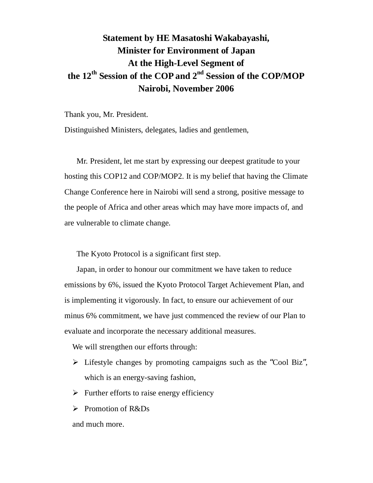## **Statement by HE Masatoshi Wakabayashi, Minister for Environment of Japan At the High-Level Segment of the 12th Session of the COP and 2nd Session of the COP/MOP Nairobi, November 2006**

Thank you, Mr. President.

Distinguished Ministers, delegates, ladies and gentlemen,

Mr. President, let me start by expressing our deepest gratitude to your hosting this COP12 and COP/MOP2. It is my belief that having the Climate Change Conference here in Nairobi will send a strong, positive message to the people of Africa and other areas which may have more impacts of, and are vulnerable to climate change.

The Kyoto Protocol is a significant first step.

Japan, in order to honour our commitment we have taken to reduce emissions by 6%, issued the Kyoto Protocol Target Achievement Plan, and is implementing it vigorously. In fact, to ensure our achievement of our minus 6% commitment, we have just commenced the review of our Plan to evaluate and incorporate the necessary additional measures.

We will strengthen our efforts through:

- $\triangleright$  Lifestyle changes by promoting campaigns such as the "Cool Biz", which is an energy-saving fashion,
- $\triangleright$  Further efforts to raise energy efficiency
- $\triangleright$  Promotion of R&Ds

and much more.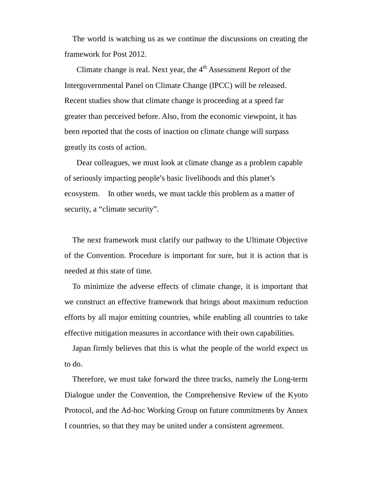The world is watching us as we continue the discussions on creating the framework for Post 2012.

Climate change is real. Next year, the 4<sup>th</sup> Assessment Report of the Intergovernmental Panel on Climate Change (IPCC) will be released. Recent studies show that climate change is proceeding at a speed far greater than perceived before. Also, from the economic viewpoint, it has been reported that the costs of inaction on climate change will surpass greatly its costs of action.

Dear colleagues, we must look at climate change as a problem capable of seriously impacting people's basic livelihoods and this planet's ecosystem. In other words, we must tackle this problem as a matter of security, a "climate security".

The next framework must clarify our pathway to the Ultimate Objective of the Convention. Procedure is important for sure, but it is action that is needed at this state of time.

To minimize the adverse effects of climate change, it is important that we construct an effective framework that brings about maximum reduction efforts by all major emitting countries, while enabling all countries to take effective mitigation measures in accordance with their own capabilities.

Japan firmly believes that this is what the people of the world expect us to do.

Therefore, we must take forward the three tracks, namely the Long-term Dialogue under the Convention, the Comprehensive Review of the Kyoto Protocol, and the Ad-hoc Working Group on future commitments by Annex I countries, so that they may be united under a consistent agreement.